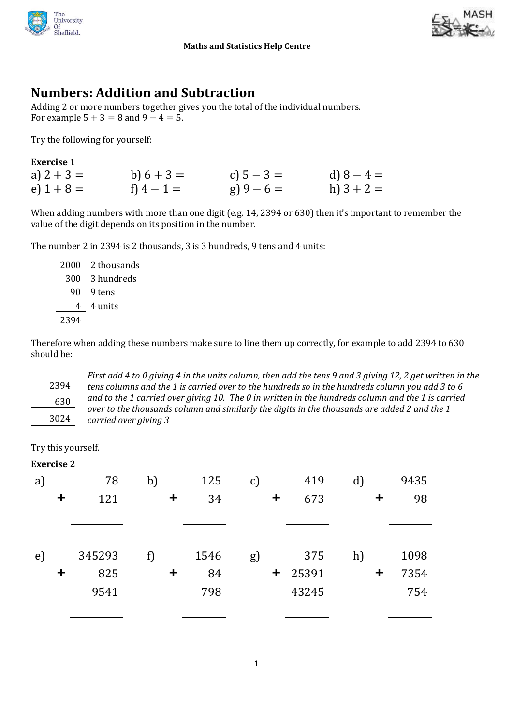

#### **Maths and Statistics Help Centre**



## **Numbers: Addition and Subtraction**

Adding 2 or more numbers together gives you the total of the individual numbers. For example  $5 + 3 = 8$  and  $9 - 4 = 5$ .

Try the following for yourself:

| <b>Exercise 1</b> |              |              |              |
|-------------------|--------------|--------------|--------------|
| a) $2 + 3 =$      | b) $6 + 3 =$ | c) $5 - 3 =$ | d) $8 - 4 =$ |
| e) $1 + 8 =$      | f) $4 - 1 =$ | $g(9-6=$     | h) $3 + 2 =$ |

When adding numbers with more than one digit (e.g. 14, 2394 or 630) then it's important to remember the value of the digit depends on its position in the number.

The number 2 in 2394 is 2 thousands, 3 is 3 hundreds, 9 tens and 4 units:

| 2000 | 2 thousands |
|------|-------------|
| 300  | 3 hundreds  |
| 90   | 9 tens      |
| 4    | 4 units     |
| 2394 |             |
|      |             |

Therefore when adding these numbers make sure to line them up correctly, for example to add 2394 to 630 should be:

2394 630 *First add 4 to 0 giving 4 in the units column, then add the tens 9 and 3 giving 12, 2 get written in the tens columns and the 1 is carried over to the hundreds so in the hundreds column you add 3 to 6 and to the 1 carried over giving 10. The 0 in written in the hundreds column and the 1 is carried over to the thousands column and similarly the digits in the thousands are added 2 and the 1*  3024 *carried over giving 3*

Try this yourself.

#### **Exercise 2**

| $\mathbf{a}$ |             | 78     | b) |    | 125  | $\mathbf{C}$ |             | 419   | $\mathbf{d}$ | 9435 |
|--------------|-------------|--------|----|----|------|--------------|-------------|-------|--------------|------|
|              | $\ddot{}$   | 121    |    | +  | 34   |              | $\mathbf +$ | 673   |              | 98   |
|              |             |        |    |    |      |              |             |       |              |      |
|              |             |        |    |    |      |              |             |       |              |      |
| e)           |             | 345293 |    |    | 1546 | g)           |             | 375   | h)           | 1098 |
|              | $\mathbf +$ | 825    |    | t, | 84   |              | $\ddagger$  | 25391 |              | 7354 |
|              |             | 9541   |    |    | 798  |              |             | 43245 |              | 754  |
|              |             |        |    |    |      |              |             |       |              |      |
|              |             |        |    |    |      |              |             |       |              |      |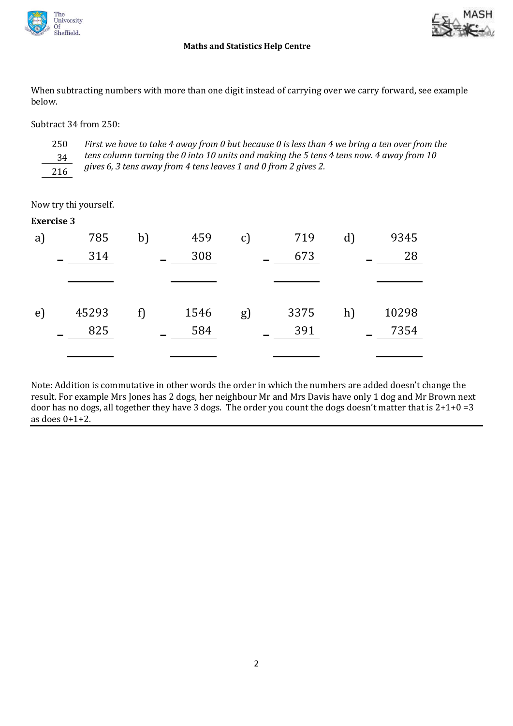

#### **Maths and Statistics Help Centre**

When subtracting numbers with more than one digit instead of carrying over we carry forward, see example below.

Subtract 34 from 250:



*First we have to take 4 away from 0 but because 0 is less than 4 we bring a ten over from the tens column turning the 0 into 10 units and making the 5 tens 4 tens now. 4 away from 10*  gives 6, 3 tens away from 4 tens leaves 1 and 0 from 2 gives 2.

Now try thi yourself.

| <b>Exercise 3</b> |  |
|-------------------|--|
|-------------------|--|

| a) | 785   | b) | 459  | $\mathcal{C}$ | 719  | $\rm d$ | 9345  |
|----|-------|----|------|---------------|------|---------|-------|
|    | 314   |    | 308  |               | 673  |         | 28    |
|    |       |    |      |               |      |         |       |
| e) | 45293 | f) | 1546 | $g$ )         | 3375 | h)      | 10298 |
|    | 825   |    | 584  |               | 391  |         | 7354  |
|    |       |    |      |               |      |         |       |

Note: Addition is commutative in other words the order in which the numbers are added doesn't change the result. For example Mrs Jones has 2 dogs, her neighbour Mr and Mrs Davis have only 1 dog and Mr Brown next door has no dogs, all together they have 3 dogs. The order you count the dogs doesn't matter that is 2+1+0 =3 as does 0+1+2.